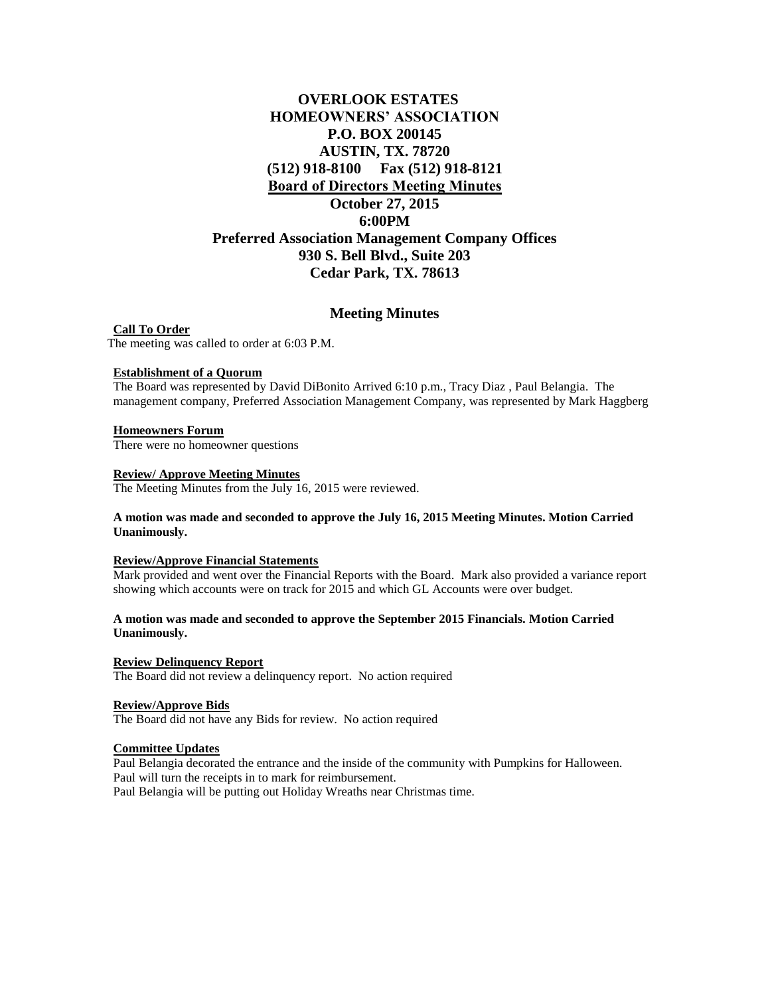# **OVERLOOK ESTATES HOMEOWNERS' ASSOCIATION P.O. BOX 200145 AUSTIN, TX. 78720 (512) 918-8100 Fax (512) 918-8121 Board of Directors Meeting Minutes October 27, 2015 6:00PM Preferred Association Management Company Offices 930 S. Bell Blvd., Suite 203 Cedar Park, TX. 78613**

## **Meeting Minutes**

**Call To Order** The meeting was called to order at 6:03 P.M.

#### **Establishment of a Quorum**

The Board was represented by David DiBonito Arrived 6:10 p.m., Tracy Diaz , Paul Belangia. The management company, Preferred Association Management Company, was represented by Mark Haggberg

#### **Homeowners Forum**

There were no homeowner questions

#### **Review/ Approve Meeting Minutes**

The Meeting Minutes from the July 16, 2015 were reviewed.

### **A motion was made and seconded to approve the July 16, 2015 Meeting Minutes. Motion Carried Unanimously.**

#### **Review/Approve Financial Statements**

Mark provided and went over the Financial Reports with the Board. Mark also provided a variance report showing which accounts were on track for 2015 and which GL Accounts were over budget.

## **A motion was made and seconded to approve the September 2015 Financials. Motion Carried Unanimously.**

## **Review Delinquency Report**

The Board did not review a delinquency report. No action required

## **Review/Approve Bids**

The Board did not have any Bids for review. No action required

#### **Committee Updates**

Paul Belangia decorated the entrance and the inside of the community with Pumpkins for Halloween. Paul will turn the receipts in to mark for reimbursement. Paul Belangia will be putting out Holiday Wreaths near Christmas time.